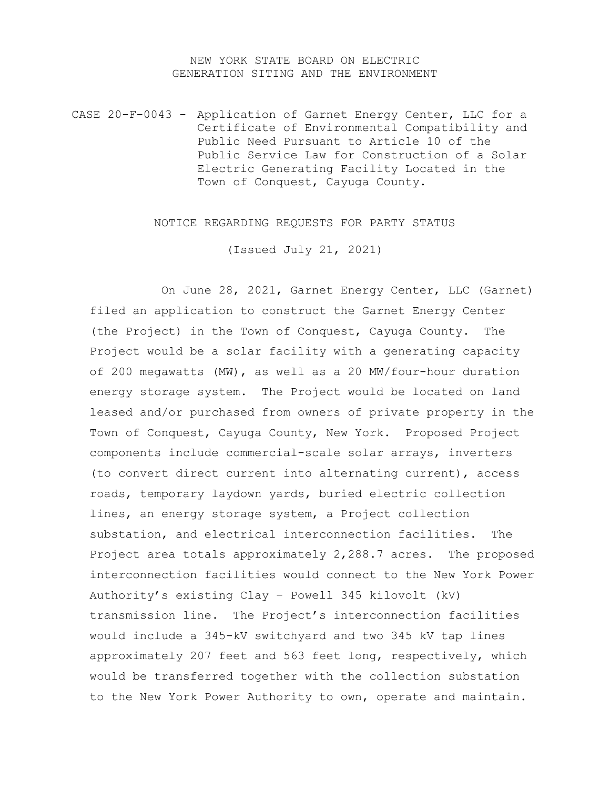## NEW YORK STATE BOARD ON ELECTRIC GENERATION SITING AND THE ENVIRONMENT

CASE 20-F-0043 - Application of Garnet Energy Center, LLC for a Certificate of Environmental Compatibility and Public Need Pursuant to Article 10 of the Public Service Law for Construction of a Solar Electric Generating Facility Located in the Town of Conquest, Cayuga County.

## NOTICE REGARDING REQUESTS FOR PARTY STATUS

(Issued July 21, 2021)

On June 28, 2021, Garnet Energy Center, LLC (Garnet) filed an application to construct the Garnet Energy Center (the Project) in the Town of Conquest, Cayuga County. The Project would be a solar facility with a generating capacity of 200 megawatts (MW), as well as a 20 MW/four-hour duration energy storage system. The Project would be located on land leased and/or purchased from owners of private property in the Town of Conquest, Cayuga County, New York. Proposed Project components include commercial-scale solar arrays, inverters (to convert direct current into alternating current), access roads, temporary laydown yards, buried electric collection lines, an energy storage system, a Project collection substation, and electrical interconnection facilities. The Project area totals approximately 2,288.7 acres. The proposed interconnection facilities would connect to the New York Power Authority's existing Clay – Powell 345 kilovolt (kV) transmission line. The Project's interconnection facilities would include a 345-kV switchyard and two 345 kV tap lines approximately 207 feet and 563 feet long, respectively, which would be transferred together with the collection substation to the New York Power Authority to own, operate and maintain.